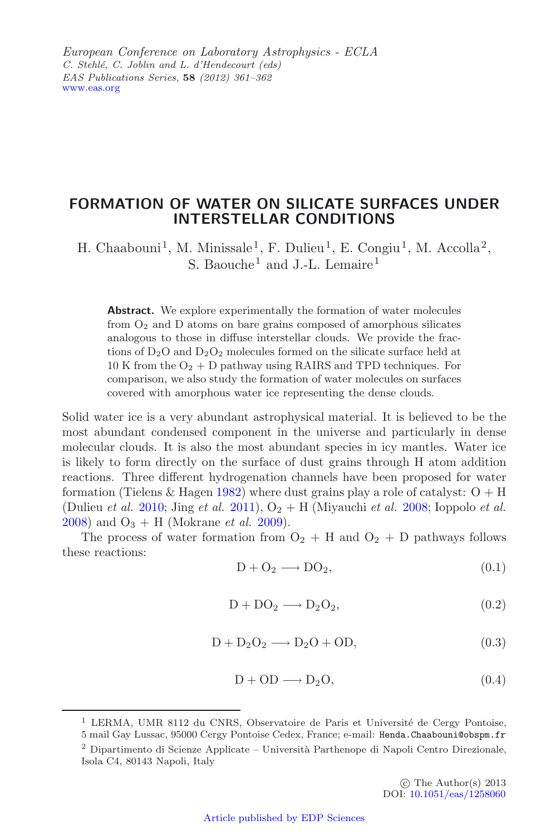*European Conference on Laboratory Astrophysics - ECLA C. Stehl´e, C. Joblin and L. d'Hendecourt (eds) EAS Publications Series,* **58** *(2012) 361–362* [www.eas.org](http://www.eas.org)

## **FORMATION OF WATER ON SILICATE SURFACES UNDER INTERSTELLAR CONDITIONS**

H. Chaabouni<sup>1</sup>, M. Minissale<sup>1</sup>, F. Dulieu<sup>1</sup>, E. Congiu<sup>1</sup>, M. Accolla<sup>2</sup>, S. Baouche<sup>1</sup> and J.-L. Lemaire<sup>1</sup>

Abstract. We explore experimentally the formation of water molecules from O<sup>2</sup> and D atoms on bare grains composed of amorphous silicates analogous to those in diffuse interstellar clouds. We provide the fractions of  $D_2O$  and  $D_2O_2$  molecules formed on the silicate surface held at 10 K from the  $O_2 + D$  pathway using RAIRS and TPD techniques. For comparison, we also study the formation of water molecules on surfaces covered with amorphous water ice representing the dense clouds.

Solid water ice is a very abundant astrophysical material. It is believed to be the most abundant condensed component in the universe and particularly in dense molecular clouds. It is also the most abundant species in icy mantles. Water ice is likely to form directly on the surface of dust grains through H atom addition reactions. Three different hydrogenation channels have been proposed for water formation (Tielens & Hagen [1982\)](#page-1-0) where dust grains play a role of catalyst:  $O + H$ (Dulieu *et al.* [2010;](#page-1-1) Jing *et al.* [2011\)](#page-1-2),  $O_2 + H$  (Miyauchi *et al.* [2008](#page-1-3); Ioppolo *et al.* [2008\)](#page-1-4) and  $O_3 + H$  (Mokrane *et al.* [2009\)](#page-1-5).

The process of water formation from  $O_2 + H$  and  $O_2 + D$  pathways follows these reactions:

$$
D + O_2 \longrightarrow DO_2,\tag{0.1}
$$

$$
D + DO_2 \longrightarrow D_2O_2,\tag{0.2}
$$

$$
D + D_2O_2 \longrightarrow D_2O + OD,
$$
\n(0.3)

$$
D + OD \longrightarrow D_2O, \tag{0.4}
$$

<sup>&</sup>lt;sup>1</sup> LERMA, UMR 8112 du CNRS, Observatoire de Paris et Université de Cergy Pontoise,

<sup>5</sup> mail Gay Lussac, 95000 Cergy Pontoise Cedex, France; e-mail: Henda.Chaabouni@obspm.fr  $^{2}$  Dipartimento di Scienze Applicate – Università Parthenope di Napoli Centro Direzionale, Isola C4, 80143 Napoli, Italy